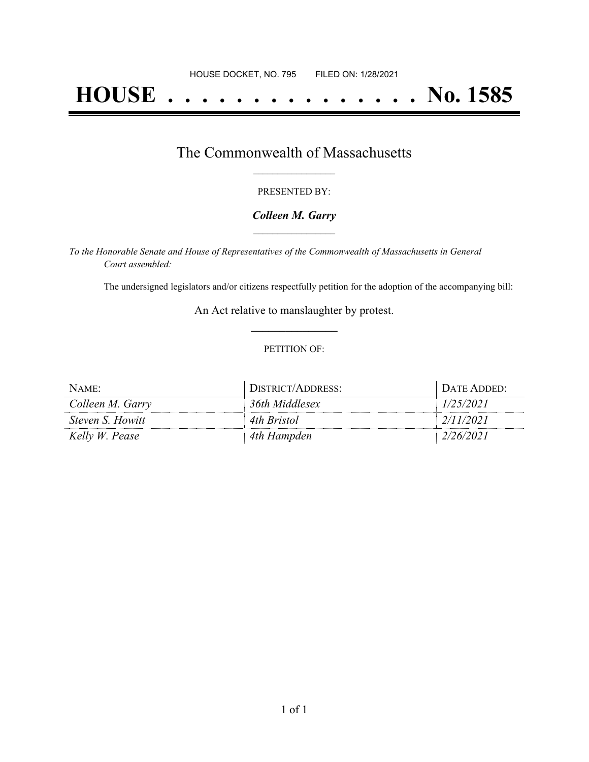# **HOUSE . . . . . . . . . . . . . . . No. 1585**

## The Commonwealth of Massachusetts **\_\_\_\_\_\_\_\_\_\_\_\_\_\_\_\_\_**

#### PRESENTED BY:

#### *Colleen M. Garry* **\_\_\_\_\_\_\_\_\_\_\_\_\_\_\_\_\_**

*To the Honorable Senate and House of Representatives of the Commonwealth of Massachusetts in General Court assembled:*

The undersigned legislators and/or citizens respectfully petition for the adoption of the accompanying bill:

An Act relative to manslaughter by protest. **\_\_\_\_\_\_\_\_\_\_\_\_\_\_\_**

#### PETITION OF:

| NAME:                   | DISTRICT/ADDRESS: | DATE ADDED: |
|-------------------------|-------------------|-------------|
| Colleen M. Garry        | 36th Middlesex    | 1/25/2021   |
| <i>Steven S. Howitt</i> | 4th Bristol       | 2/11/2021   |
| Kelly W. Pease          | 4th Hampden       | 2/26/2021   |